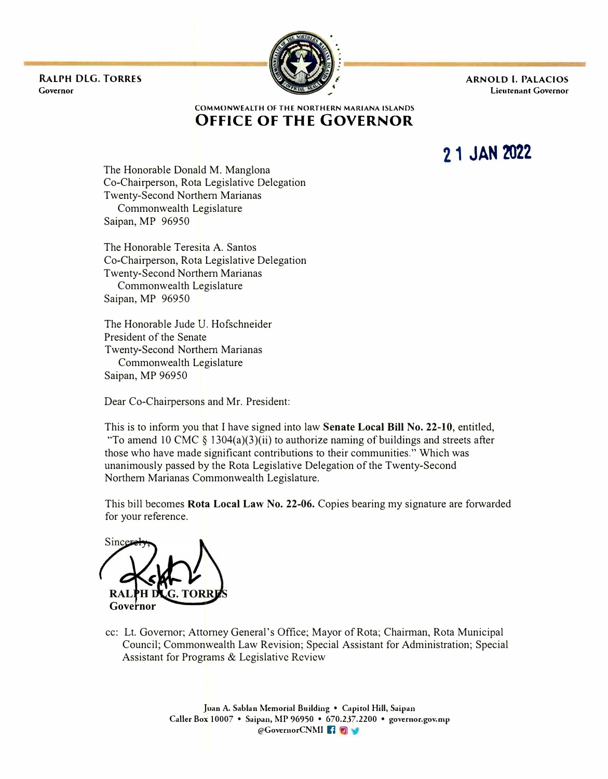**RALrH DLG. TORRES Governor** 



**ARNOLD I. PALACIOS Lieutenant Governor** 

#### **COMMONWEALTH OF THE NORTHERN MARIANA ISLANDS OFFICE OF THE GOVERNOR**

**21 JAN 2022** 

The Honorable Donald M. Manglona Co-Chairperson, Rota Legislative Delegation Twenty-Second Northern Marianas Commonwealth Legislature Saipan, MP 96950

The Honorable Teresita A. Santos Co-Chairperson, Rota Legislative Delegation Twenty-Second Northern Marianas Commonwealth Legislature Saipan, MP 96950

The Honorable Jude U. Hofschneider President of the Senate Twenty-Second Northern Marianas Commonwealth Legislature Saipan, MP 96950

Dear Co-Chairpersons and Mr. President:

This is to inform you that I have signed into law **Senate Local Bill No. 22-10,** entitled, "To amend 10 CMC § 1304(a)(3)(ii) to authorize naming of buildings and streets after those who have made significant contributions to their communities." Which was unanimously passed by the Rota Legislative Delegation of the Twenty-Second Northern Marianas Commonwealth Legislature.

This bill becomes **Rota Local Law No. 22-06.** Copies bearing my signature are forwarded for your reference.

Sincer **Governor** 

cc: Lt. Governor; Attorney General's Office; Mayor of Rota; Chairman, Rota Municipal Council; Commonwealth Law Revision; Special Assistant for Administration; Special Assistant for Programs & Legislative Review

> **Juan A. Sablan Memorial Building • Capitol Hill, Saipan Caller Box 10007 • Saipan, MP 96950 • 670.2.37.2200 • governor.gov.mp @GovernorCNMI** IJ •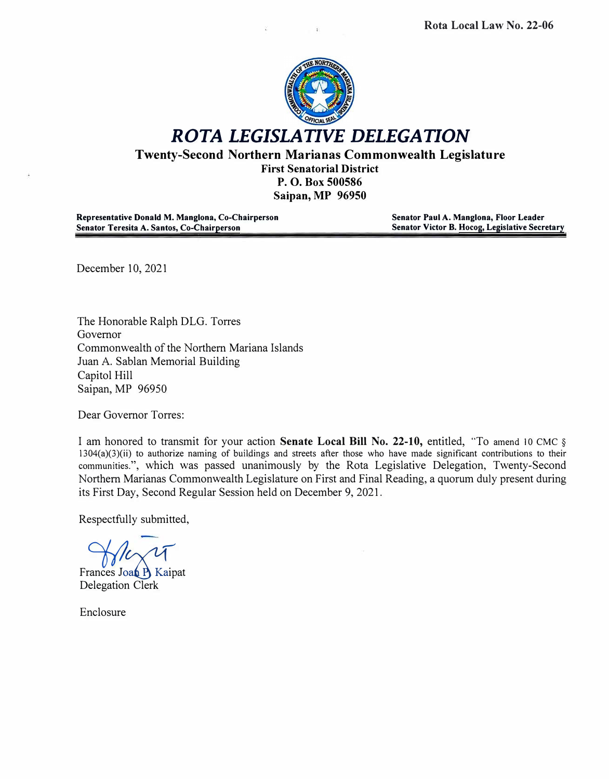

*ROTA LEGISLATIVE DELEGATION* 

**Twenty-Second Northern Marianas Commonwealth Legislature** 

**First Senatorial District P. 0. Box 500586 Saipan, MP 96950**

**Representative Donald M. Manglona, Co-Chairperson Senator Teresita A. Santos, Co-Chairperson** 

**Senator Paul A. Manglona, Floor Leader Senator Victor B. Hocog, Legislative Secretary** 

December 10, 2021

The Honorable Ralph DLG. Torres Governor Commonwealth of the Northern Mariana Islands Juan A. Sablan Memorial Building Capitol Hill Saipan, MP 96950

Dear Governor Torres:

I am honored to transmit for your action **Senate Local Bill No. 22-10,** entitled, "To amend 10 CMC § l 304(a)(3)(ii) to authorize naming of buildings and streets after those who have made significant contributions to their communities.", which was passed unanimously by the Rota Legislative Delegation, Twenty-Second Northern Marianas Commonwealth Legislature on First and Final Reading, a quorum duly present during its First Day, Second Regular Session held on December 9, 2021.

Respectfully submitted,

Frances Joan P Kaipat Delegation Clerk

Enclosure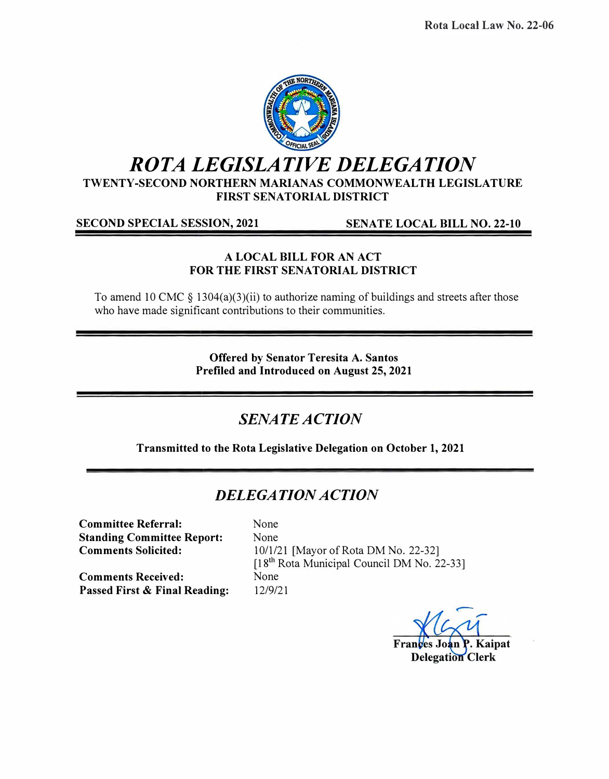

# *ROTA LEGISLATIVE DELEGATION*

**TWENTY-SECOND NORTHERN MARIANAS COMMONWEALTH LEGISLATURE FIRST SENATORIAL DISTRICT** 

**SECOND SPECIAL SESSION, 2021 SENATE LOCAL BILL NO. 22-10** 

### **A LOCAL BILL FOR AN ACT FOR THE FIRST SENATORIAL DISTRICT**

To amend 10 CMC  $\S$  1304(a)(3)(ii) to authorize naming of buildings and streets after those who have made significant contributions to their communities.

> **Offered by Senator Teresita A. Santos Prefiled and Introduced on August 25, 2021**

## *SENATE ACTION*

**Transmitted to the Rota Legislative Delegation on October 1, 2021** 

## *DELEGATION ACTION*

**Committee Referral: Standing Committee Report: Comments Solicited:** 

**Passed First** & **Final Reading:** 

**Comments Received:** 

None None 10/1/21 [Mayor of Rota DM No. 22-32] [18<sup>th</sup> Rota Municipal Council DM No. 22-33] None 12/9/21

Frances Joan Kaipat **Delegation Clerk**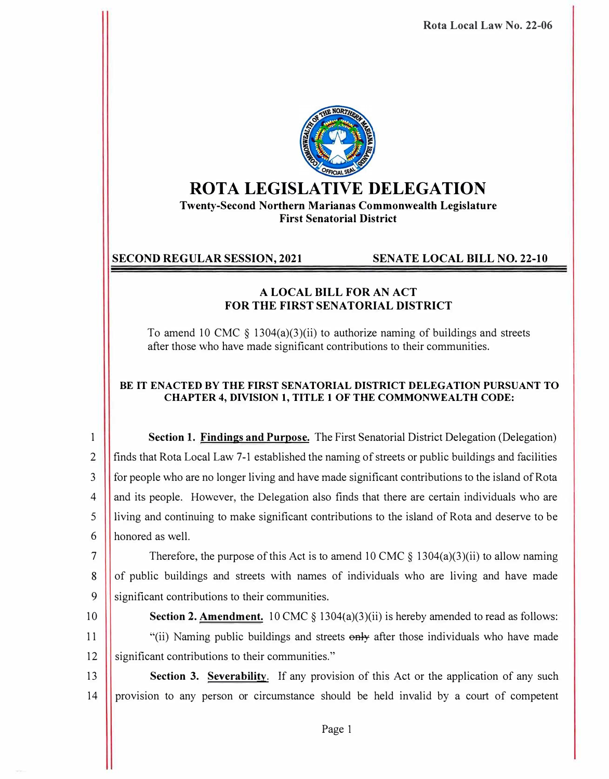**Rota Local Law No. 22-06** 



## **ROTA LEGISLATIVE DELEGATION**

**Twenty-Second Northern Marianas Commonwealth Legislature First Senatorial District** 

### **SECOND REGULAR SESSION, 2021 SENATE LOCAL BILL NO. 22-10**

#### **A LOCAL BILL FOR AN ACT FOR THE FIRST SENATORIAL DISTRICT**

To amend 10 CMC  $\S$  1304(a)(3)(ii) to authorize naming of buildings and streets after those who have made significant contributions to their communities.

#### **BE IT ENACTED BY THE FIRST SENATORIAL DISTRICT DELEGATION PURSUANT TO CHAPTER 4, DIVISION 1, TITLE 1 OF THE COMMONWEALTH CODE:**

1 **Section** 1. **Findings and Purpose.** The First Senatorial District Delegation (Delegation) 2 finds that Rota Local Law 7-1 established the naming of streets or public buildings and facilities 3 for people who are no longer living and have made significant contributions to the island of Rota <sup>4</sup> and its people. However, the Delegation also finds that there are certain individuals who are 5 living and continuing to make significant contributions to the island of Rota and deserve to be 6 honored as well.

7 Therefore, the purpose of this Act is to amend 10 CMC § 1304(a)(3)(ii) to allow naming 8 of public buildings and streets with names of individuals who are living and have made 9 Significant contributions to their communities.

10 **Section 2. Amendment.** 10 CMC § 1304(a)(3)(ii) is hereby amended to read as follows:

11 **I** "(ii) Naming public buildings and streets  $\theta$ <sub>reft</sub> after those individuals who have made 12 **significant contributions to their communities.**"

13 **Section 3. Severability.** If any provision of this Act or the application of any such 14 provision to any person or circumstance should be held invalid by a court of competent